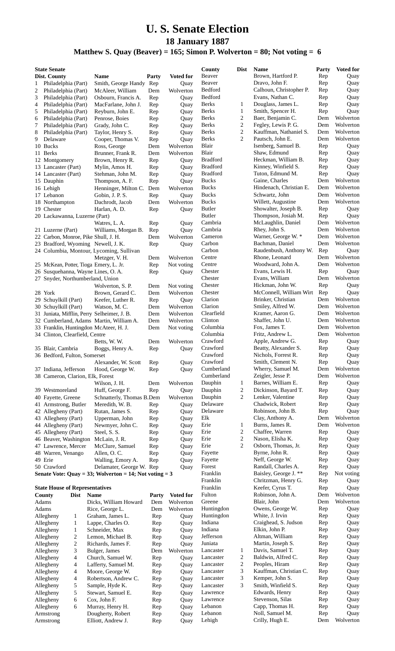## **U. S. Senate Election 18 January 1887**

## **Matthew S. Quay (Beaver) = 165; Simon P. Wolverton = 80; Not voting = 6**

| <b>State Senate</b>                   |                     |                                                                        |            |                  | County                | <b>Dist</b>    | <b>Name</b>                         | Party      | <b>Voted for</b>  |
|---------------------------------------|---------------------|------------------------------------------------------------------------|------------|------------------|-----------------------|----------------|-------------------------------------|------------|-------------------|
| Dist. County                          |                     | <b>Name</b>                                                            | Party      | <b>Voted for</b> | Beaver                |                | Brown, Hartford P.                  | Rep        | Quay              |
| 1                                     | Philadelphia (Part) | Smith, George Handy Rep                                                |            | Quay             | Beaver                |                | Dravo, John F.                      | Rep        | Quay              |
| 2                                     | Philadelphia (Part) | McAleer, William                                                       | Dem        | Wolverton        | Bedford               |                | Calhoun, Christopher P.             | Rep        | Quay              |
| 3                                     | Philadelphia (Part) | Osbourn, Francis A.                                                    | Rep        | Quay             | Bedford               |                | Evans, Nathan C.                    | Rep        | Quay              |
| 4                                     | Philadelphia (Part) | MacFarlane, John J.                                                    | Rep        | Quay             | <b>Berks</b>          | 1              | Douglass, James L.                  | Rep        | Quay              |
| 5                                     | Philadelphia (Part) | Reyburn, John E.                                                       | Rep        | Quay             | <b>Berks</b>          | $\mathbf{1}$   | Smith, Spencer H.                   | Rep        | Quay              |
| 6                                     | Philadelphia (Part) | Penrose, Boies                                                         | Rep        | Quay             | <b>Berks</b>          | $\sqrt{2}$     | Baer, Benjamin C.                   | Dem        | Wolverton         |
| 7                                     | Philadelphia (Part) | Grady, John C.                                                         | Rep        | Quay             | <b>Berks</b>          | $\sqrt{2}$     | Fegley, Lewis P. G.                 | Dem        | Wolverton         |
| 8                                     | Philadelphia (Part) | Taylor, Henry S.                                                       | Rep        | Quay             | <b>Berks</b>          | $\mathbf{2}$   | Kauffman, Nathaniel S.              | Dem        | Wolverton         |
| 9<br>Delaware                         |                     | Cooper, Thomas V.                                                      | Rep        | Quay             | <b>Berks</b>          | $\overline{c}$ | Pautsch, John E.                    | Dem        | Wolverton         |
| 10 Bucks                              |                     | Ross, George                                                           | Dem        | Wolverton        | Blair                 |                | Isenberg, Samuel B.                 | Rep        | Quay              |
| 11 Berks                              |                     | Brunner, Frank R.                                                      | Dem        | Wolverton        | Blair                 |                | Shaw, Edmund                        | Rep        | Quay              |
| 12 Montgomery                         |                     | Brown, Henry R.                                                        | Rep        | Quay             | <b>Bradford</b>       |                | Heckman, William B.                 | Rep        | Quay              |
| 13 Lancaster (Part)                   |                     | Mylin, Amos H.                                                         | Rep        | Quay             | <b>Bradford</b>       |                | Kinney, Winfield S.                 | Rep        | Quay              |
| 14 Lancaster (Part)                   |                     | Stehman, John M.                                                       | Rep        | Quay             | <b>Bradford</b>       |                | Tuton, Edmund M.                    | Rep        | Quay              |
| 15 Dauphin                            |                     | Thompson, A. F.                                                        | Rep        | Quay             | <b>Bucks</b>          |                | Gaine, Charles                      | Dem        | Wolverton         |
| 16 Lehigh                             |                     | Henninger, Milton C. Dem                                               |            | Wolverton        | <b>Bucks</b>          |                | Hindenach, Christian E.             | Dem        | Wolverton         |
| 17 Lebanon                            |                     | Gobin, J. P. S.                                                        | Rep        | Quay             | <b>Bucks</b>          |                | Schwartz, John                      | Dem        | Wolverton         |
| 18 Northampton                        |                     | Dachrodt, Jacob                                                        | Dem        | Wolverton        | <b>Bucks</b>          |                | Willett, Augustine                  | Dem        | Wolverton         |
| 19 Chester                            |                     | Harlan, A. D.                                                          | Rep        | Quay             | <b>Butler</b>         |                | Showalter, Joseph B.                | Rep        | Quay              |
| 20 Lackawanna, Luzerne (Part)         |                     |                                                                        |            |                  | <b>Butler</b>         |                | Thompson, Josiah M.                 | Rep        | Quay              |
|                                       |                     | Watres, L. A.                                                          | Rep        | Quay             | Cambria               |                | McLaughlin, Daniel                  | Dem        | Wolverton         |
| 21 Luzerne (Part)                     |                     | Williams, Morgan B.                                                    | Rep        | Quay             | Cambria               |                | Rhey, John S.                       | Dem        | Wolverton         |
|                                       |                     | 22 Carbon, Monroe, Pike Shull, J. H.                                   | Dem        | Wolverton        | Cameron               |                | Warner, George W. *                 | Dem        | Wolverton         |
|                                       |                     | 23 Bradford, Wyoming Newell, J. K.                                     | Rep        | Quay             | Carbon<br>Carbon      |                | Bachman, Daniel                     | Dem        | Wolverton         |
|                                       |                     | 24 Columbia, Montour, Lycoming, Sullivan                               |            |                  |                       |                | Raudenbush, Anthony W.              | Rep        | Quay<br>Wolverton |
|                                       |                     | Metzger, V. H.                                                         | Dem        | Wolverton        | Centre<br>Centre      |                | Rhone, Leonard<br>Woodward, John A. | Dem        | Wolverton         |
|                                       |                     | 25 McKean, Potter, Tioga Emery, L. Jr.                                 | Rep        | Not voting       | Chester               |                | Evans, Lewis H.                     | Dem<br>Rep |                   |
|                                       |                     | 26 Susquehanna, Wayne Lines, O. A.<br>27 Snyder, Northumberland, Union | Rep        | Quay             | Chester               |                | Evans, William                      | Dem        | Quay<br>Wolverton |
|                                       |                     | Wolverton, S. P.                                                       | Dem        | Not voting       | Chester               |                | Hickman, John W.                    | Rep        | Quay              |
| 28 York                               |                     | Brown, Gerard C.                                                       | Dem        | Wolverton        | Chester               |                | McConnell, William Wirt             | Rep        | Quay              |
| 29 Schuylkill (Part)                  |                     | Keefer, Luther R.                                                      | Rep        | Quay             | Clarion               |                | Brinker, Christian                  | Dem        | Wolverton         |
| 30 Schuylkill (Part)                  |                     | Watson, M.C.                                                           | Dem        | Wolverton        | Clarion               |                | Smiley, Alfred W.                   | Dem        | Wolverton         |
|                                       |                     | 31 Juniata, Mifflin, Perry Selheimer, J. B.                            | Dem        | Wolverton        | Clearfield            |                | Kramer, Aaron G.                    | Dem        | Wolverton         |
|                                       |                     | 32 Cumberland, Adams Martin, William A.                                | Dem        | Wolverton        | Clinton               |                | Shaffer, John U.                    | Dem        | Wolverton         |
|                                       |                     | 33 Franklin, Huntingdon McAteer, H. J.                                 | Dem        | Not voting       | Columbia              |                | Fox, James T.                       | Dem        | Wolverton         |
| 34 Clinton, Clearfield, Centre        |                     |                                                                        |            |                  | Columbia              |                | Fritz, Andrew L.                    | Dem        | Wolverton         |
|                                       |                     | Betts, W.W.                                                            | Dem        | Wolverton        | Crawford              |                | Apple, Andrew G.                    | Rep        | Quay              |
| 35 Blair, Cambria                     |                     | Boggs, Henry A.                                                        | Rep        | Quay             | Crawford              |                | Beatty, Alexander S.                | Rep        | Quay              |
| 36 Bedford, Fulton, Somerset          |                     |                                                                        |            |                  | Crawford              |                | Nichols, Forrest R.                 | Rep        | Quay              |
|                                       |                     | Alexander, W. Scott                                                    | Rep        | Quay             | Crawford              |                | Smith, Clement N.                   | Rep        | Quay              |
| 37 Indiana, Jefferson                 |                     | Hood, George W.                                                        | Rep        | Quay             | Cumberland            |                | Wherry, Samuel M.                   | Dem        | Wolverton         |
| 38 Cameron, Clarion, Elk, Forest      |                     |                                                                        |            |                  | Cumberland            |                | Zeigler, Jesse P.                   | Dem        | Wolverton         |
|                                       |                     | Wilson, J. H.                                                          | Dem        | Wolverton        | Dauphin               | $\mathbf{1}$   | Barnes, William E.                  | Rep        | Quay              |
| 39 Westmoreland                       |                     | Huff, George F.                                                        | Rep        | Quay             | Dauphin               | $\sqrt{2}$     | Dickinson, Bayard T.                | Rep        | Quay              |
| 40 Fayette, Greene                    |                     | Schnatterly, Thomas B.Dem                                              |            | Wolverton        | Dauphin               | $\mathfrak{2}$ | Lenker, Valentine                   | Rep        | Quay              |
| 41 Armstrong, Butler                  |                     | Meredith, W. B.                                                        | Rep        | Quay             | Delaware              |                | Chadwick, Robert                    | Rep        | Quay              |
| 42 Allegheny (Part)                   |                     | Rutan, James S.                                                        | Rep        | Quay             | Delaware              |                | Robinson, John B.                   | Rep        | Quay              |
| 43 Allegheny (Part)                   |                     | Upperman, John                                                         | Rep        | Quay             | Elk                   |                | Clay, Anthony A.                    | Dem        | Wolverton         |
| 44 Allegheny (Part)                   |                     | Newmyer, John C.                                                       | Rep        | Quay             | Erie                  | 1              | Burns, James R.                     | Dem        | Wolverton         |
| 45 Allegheny (Part)                   |                     | Steel, S. S.                                                           | Rep        | Quay             | Erie                  | $\overline{c}$ | Chaffee, Warren                     | Rep        | Quay              |
| 46 Beaver, Washington                 |                     | McLain, J. R.                                                          | Rep        | Quay             | Erie                  | $\sqrt{2}$     | Nason, Elisha K.                    | Rep        | Quay              |
| 47 Lawrence, Mercer                   |                     | McClure, Samuel                                                        | Rep        | Quay             | Erie                  | 2              | Osborn, Thomas, Jr.                 | Rep        | Quay              |
| 48 Warren, Venango                    |                     | Allen, O.C.                                                            | Rep        | Quay             | Fayette               |                | Byrne, John R.                      | Rep        | Quay              |
| 49 Erie                               |                     | Walling, Emory A.                                                      | Rep        | Quay             | Fayette               |                | Neff, George W.                     | Rep        | Quay              |
| 50 Crawford                           |                     | Delamater, George W. Rep                                               |            | Quay             | Forest                |                | Randall, Charles A.                 | Rep        | Quay              |
|                                       |                     | Senate Vote: Quay = 33; Wolverton = 14; Not voting = 3                 |            |                  | Franklin              |                | Baisley, George J. **               | Rep        | Not voting        |
|                                       |                     |                                                                        |            |                  | Franklin              |                | Chritzman, Henry G.                 | Rep        | Quay              |
| <b>State House of Representatives</b> |                     |                                                                        |            |                  | Franklin              |                | Keefer, Cyrus T.                    | Rep        | Quay              |
| County                                | <b>Dist</b>         | Name                                                                   | Party      | <b>Voted for</b> | Fulton                |                | Robinson, John A.                   | Dem        | Wolverton         |
| Adams                                 |                     | Dicks, William Howard                                                  | Dem        | Wolverton        | Greene                |                | Blair, John                         | Dem        | Wolverton         |
| Adams                                 |                     | Rice, George L.                                                        | Dem        | Wolverton        | Huntingdon            |                | Owens, George W.                    | Rep        | Quay              |
| Allegheny                             | $\mathbf{1}$        | Graham, James L.                                                       | Rep        | Quay             | Huntingdon            |                | White, J. Irvin                     | Rep        | Quay              |
| Allegheny                             | $\mathbf{1}$        | Lappe, Charles O.                                                      | Rep        | Quay             | Indiana               |                | Craighead, S. Judson                | Rep        | Quay              |
| Allegheny                             | 1                   | Schneider, Max                                                         | Rep        | Quay             | Indiana               |                | Elkin, John P.                      | Rep        | Quay              |
| Allegheny                             | 2                   | Lemon, Michael B.                                                      | Rep        | Quay             | Jefferson             |                | Altman, William                     | Rep        | Quay              |
| Allegheny                             | $\overline{c}$      | Richards, James F.                                                     | Rep        | Quay             | Juniata               |                | Martin, Joseph S.                   | Rep        | Quay              |
| Allegheny                             | 3                   | Bulger, James                                                          | Dem        | Wolverton        | Lancaster             | $\mathbf{1}$   | Davis, Samuel T.                    | Rep        | Quay              |
| Allegheny                             | 4                   | Church, Samuel W.                                                      | Rep        | Quay             | Lancaster             | 2              | Baldwin, Alfred C.                  | Rep        | Quay              |
| Allegheny                             | 4                   | Lafferty, Samuel M.                                                    | Rep        | Quay             | Lancaster             | $\sqrt{2}$     | Peoples, Hiram                      | Rep        | Quay              |
| Allegheny                             | 4                   | Moore, George W.                                                       | Rep        | Quay             | Lancaster             | 3              | Kauffman, Christian C.              | Rep        | Quay              |
| Allegheny                             | 4                   | Robertson, Andrew C.                                                   | Rep        | Quay             | Lancaster             | 3              | Kemper, John S.                     | Rep        | Quay              |
| Allegheny                             | 5                   | Sample, Hyde K.                                                        | Rep        | Quay             | Lancaster<br>Lawrence | 3              | Smith, Winfield S.                  | Rep        | Quay              |
| Allegheny                             | 5                   | Stewart, Samuel E.                                                     | Rep        | Quay             |                       |                | Edwards, Henry<br>Stevenson, Silas  | Rep        | Quay              |
| Allegheny                             | 6                   | Cox, John F.                                                           | Rep        | Quay             | Lawrence<br>Lebanon   |                | Capp, Thomas H.                     | Rep<br>Rep | Quay<br>Quay      |
| Allegheny<br>Armstrong                | 6                   | Murray, Henry H.<br>Dougherty, Robert                                  | Rep        | Quay             | Lebanon               |                | Noll, Samuel M.                     | Rep        | Quay              |
| Armstrong                             |                     | Elliott, Andrew J.                                                     | Rep<br>Rep | Quay<br>Quay     | Lehigh                |                | Crilly, Hugh E.                     | Dem        | Wolverton         |
|                                       |                     |                                                                        |            |                  |                       |                |                                     |            |                   |